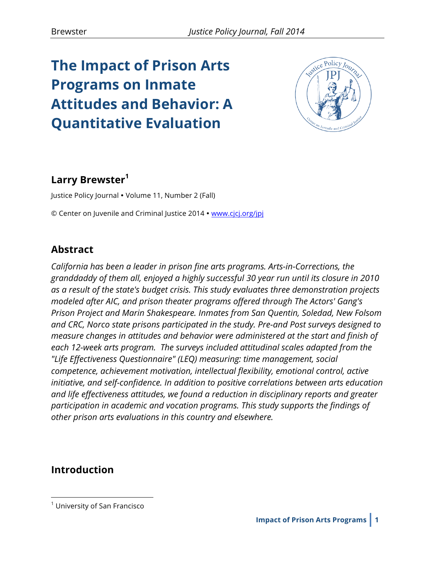# **The Impact of Prison Arts Programs on Inmate Attitudes and Behavior: A Quantitative Evaluation**



# **Larry Brewster<sup>1</sup>**

Justice Policy Journal • Volume 11, Number 2 (Fall)

© Center on Juvenile and Criminal Justice 2014 • www.cjcj.org/jpj

## **Abstract**

*California has been a leader in prison fine arts programs. Arts-in-Corrections, the granddaddy of them all, enjoyed a highly successful 30 year run until its closure in 2010 as a result of the state's budget crisis. This study evaluates three demonstration projects modeled after AIC, and prison theater programs offered through The Actors' Gang's Prison Project and Marin Shakespeare. Inmates from San Quentin, Soledad, New Folsom and CRC, Norco state prisons participated in the study. Pre-and Post surveys designed to measure changes in attitudes and behavior were administered at the start and finish of each 12-week arts program. The surveys included attitudinal scales adapted from the "Life Effectiveness Questionnaire" (LEQ) measuring: time management, social competence, achievement motivation, intellectual flexibility, emotional control, active initiative, and self-confidence. In addition to positive correlations between arts education and life effectiveness attitudes, we found a reduction in disciplinary reports and greater participation in academic and vocation programs. This study supports the findings of other prison arts evaluations in this country and elsewhere.*

## **Introduction**

 $\overline{a}$ 

 $1$  University of San Francisco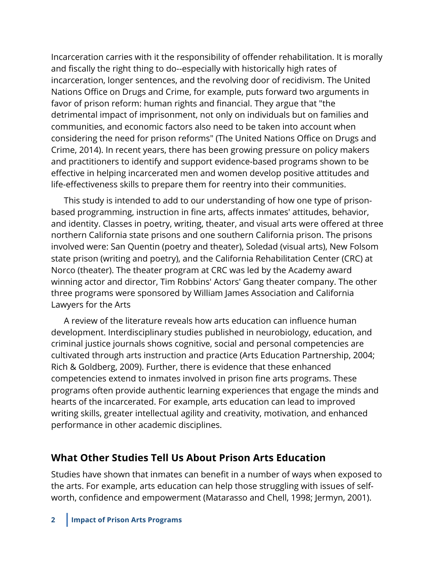Incarceration carries with it the responsibility of offender rehabilitation. It is morally and fiscally the right thing to do--especially with historically high rates of incarceration, longer sentences, and the revolving door of recidivism. The United Nations Office on Drugs and Crime, for example, puts forward two arguments in favor of prison reform: human rights and financial. They argue that "the detrimental impact of imprisonment, not only on individuals but on families and communities, and economic factors also need to be taken into account when considering the need for prison reforms" (The United Nations Office on Drugs and Crime, 2014). In recent years, there has been growing pressure on policy makers and practitioners to identify and support evidence-based programs shown to be effective in helping incarcerated men and women develop positive attitudes and life-effectiveness skills to prepare them for reentry into their communities.

This study is intended to add to our understanding of how one type of prisonbased programming, instruction in fine arts, affects inmates' attitudes, behavior, and identity. Classes in poetry, writing, theater, and visual arts were offered at three northern California state prisons and one southern California prison. The prisons involved were: San Quentin (poetry and theater), Soledad (visual arts), New Folsom state prison (writing and poetry), and the California Rehabilitation Center (CRC) at Norco (theater). The theater program at CRC was led by the Academy award winning actor and director, Tim Robbins' Actors' Gang theater company. The other three programs were sponsored by William James Association and California Lawyers for the Arts

A review of the literature reveals how arts education can influence human development. Interdisciplinary studies published in neurobiology, education, and criminal justice journals shows cognitive, social and personal competencies are cultivated through arts instruction and practice (Arts Education Partnership, 2004; Rich & Goldberg, 2009). Further, there is evidence that these enhanced competencies extend to inmates involved in prison fine arts programs. These programs often provide authentic learning experiences that engage the minds and hearts of the incarcerated. For example, arts education can lead to improved writing skills, greater intellectual agility and creativity, motivation, and enhanced performance in other academic disciplines.

## **What Other Studies Tell Us About Prison Arts Education**

Studies have shown that inmates can benefit in a number of ways when exposed to the arts. For example, arts education can help those struggling with issues of selfworth, confidence and empowerment (Matarasso and Chell, 1998; Jermyn, 2001).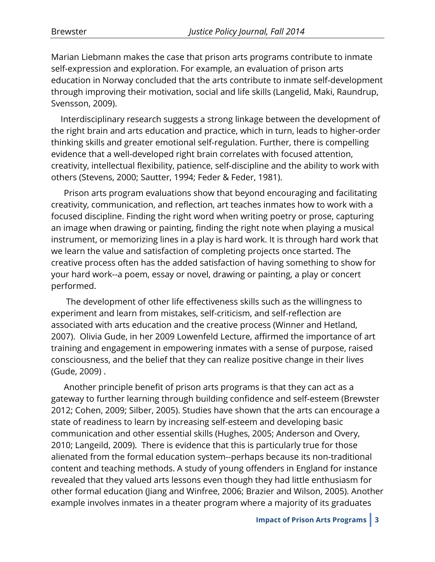Marian Liebmann makes the case that prison arts programs contribute to inmate self-expression and exploration. For example, an evaluation of prison arts education in Norway concluded that the arts contribute to inmate self-development through improving their motivation, social and life skills (Langelid, Maki, Raundrup, Svensson, 2009).

Interdisciplinary research suggests a strong linkage between the development of the right brain and arts education and practice, which in turn, leads to higher-order thinking skills and greater emotional self-regulation. Further, there is compelling evidence that a well-developed right brain correlates with focused attention, creativity, intellectual flexibility, patience, self-discipline and the ability to work with others (Stevens, 2000; Sautter, 1994; Feder & Feder, 1981).

Prison arts program evaluations show that beyond encouraging and facilitating creativity, communication, and reflection, art teaches inmates how to work with a focused discipline. Finding the right word when writing poetry or prose, capturing an image when drawing or painting, finding the right note when playing a musical instrument, or memorizing lines in a play is hard work. It is through hard work that we learn the value and satisfaction of completing projects once started. The creative process often has the added satisfaction of having something to show for your hard work--a poem, essay or novel, drawing or painting, a play or concert performed.

The development of other life effectiveness skills such as the willingness to experiment and learn from mistakes, self-criticism, and self-reflection are associated with arts education and the creative process (Winner and Hetland, 2007). Olivia Gude, in her 2009 Lowenfeld Lecture, affirmed the importance of art training and engagement in empowering inmates with a sense of purpose, raised consciousness, and the belief that they can realize positive change in their lives (Gude, 2009) .

Another principle benefit of prison arts programs is that they can act as a gateway to further learning through building confidence and self-esteem (Brewster 2012; Cohen, 2009; Silber, 2005). Studies have shown that the arts can encourage a state of readiness to learn by increasing self-esteem and developing basic communication and other essential skills (Hughes, 2005; Anderson and Overy, 2010; Langeild, 2009). There is evidence that this is particularly true for those alienated from the formal education system--perhaps because its non-traditional content and teaching methods. A study of young offenders in England for instance revealed that they valued arts lessons even though they had little enthusiasm for other formal education (Jiang and Winfree, 2006; Brazier and Wilson, 2005). Another example involves inmates in a theater program where a majority of its graduates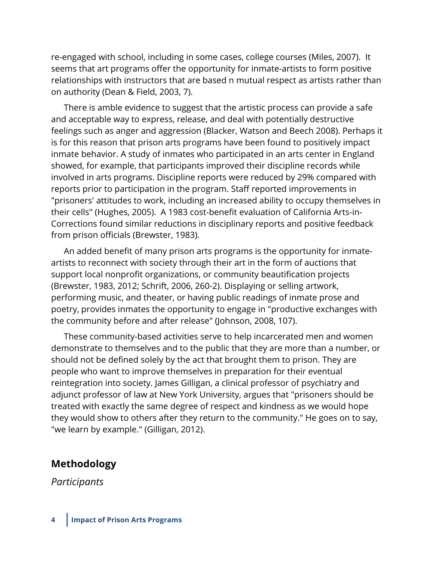re-engaged with school, including in some cases, college courses (Miles, 2007). It seems that art programs offer the opportunity for inmate-artists to form positive relationships with instructors that are based n mutual respect as artists rather than on authority (Dean & Field, 2003, 7).

There is amble evidence to suggest that the artistic process can provide a safe and acceptable way to express, release, and deal with potentially destructive feelings such as anger and aggression (Blacker, Watson and Beech 2008). Perhaps it is for this reason that prison arts programs have been found to positively impact inmate behavior. A study of inmates who participated in an arts center in England showed, for example, that participants improved their discipline records while involved in arts programs. Discipline reports were reduced by 29% compared with reports prior to participation in the program. Staff reported improvements in "prisoners' attitudes to work, including an increased ability to occupy themselves in their cells" (Hughes, 2005). A 1983 cost-benefit evaluation of California Arts-in-Corrections found similar reductions in disciplinary reports and positive feedback from prison officials (Brewster, 1983).

An added benefit of many prison arts programs is the opportunity for inmateartists to reconnect with society through their art in the form of auctions that support local nonprofit organizations, or community beautification projects (Brewster, 1983, 2012; Schrift, 2006, 260-2). Displaying or selling artwork, performing music, and theater, or having public readings of inmate prose and poetry, provides inmates the opportunity to engage in "productive exchanges with the community before and after release" (Johnson, 2008, 107).

These community-based activities serve to help incarcerated men and women demonstrate to themselves and to the public that they are more than a number, or should not be defined solely by the act that brought them to prison. They are people who want to improve themselves in preparation for their eventual reintegration into society. James Gilligan, a clinical professor of psychiatry and adjunct professor of law at New York University, argues that "prisoners should be treated with exactly the same degree of respect and kindness as we would hope they would show to others after they return to the community." He goes on to say, "we learn by example." (Gilligan, 2012).

#### **Methodology**

*Participants*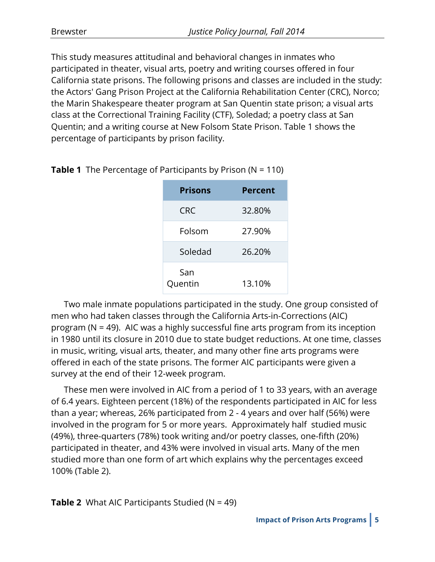This study measures attitudinal and behavioral changes in inmates who participated in theater, visual arts, poetry and writing courses offered in four California state prisons. The following prisons and classes are included in the study: the Actors' Gang Prison Project at the California Rehabilitation Center (CRC), Norco; the Marin Shakespeare theater program at San Quentin state prison; a visual arts class at the Correctional Training Facility (CTF), Soledad; a poetry class at San Quentin; and a writing course at New Folsom State Prison. Table 1 shows the percentage of participants by prison facility.

| <b>Prisons</b> | <b>Percent</b> |
|----------------|----------------|
| <b>CRC</b>     | 32.80%         |
| Folsom         | 27.90%         |
| Soledad        | 26.20%         |
| San<br>Quentin | 13.10%         |

**Table 1** The Percentage of Participants by Prison (N = 110)

Two male inmate populations participated in the study. One group consisted of men who had taken classes through the California Arts-in-Corrections (AIC) program (N = 49). AIC was a highly successful fine arts program from its inception in 1980 until its closure in 2010 due to state budget reductions. At one time, classes in music, writing, visual arts, theater, and many other fine arts programs were offered in each of the state prisons. The former AIC participants were given a survey at the end of their 12-week program.

These men were involved in AIC from a period of 1 to 33 years, with an average of 6.4 years. Eighteen percent (18%) of the respondents participated in AIC for less than a year; whereas, 26% participated from 2 - 4 years and over half (56%) were involved in the program for 5 or more years. Approximately half studied music (49%), three-quarters (78%) took writing and/or poetry classes, one-fifth (20%) participated in theater, and 43% were involved in visual arts. Many of the men studied more than one form of art which explains why the percentages exceed 100% (Table 2).

**Table 2** What AIC Participants Studied (N = 49)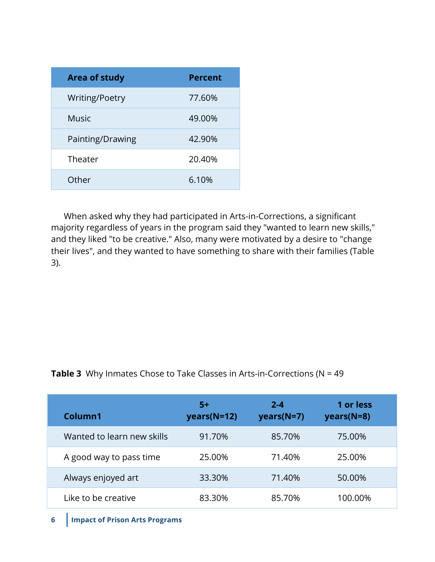| <b>Area of study</b> | <b>Percent</b> |
|----------------------|----------------|
| Writing/Poetry       | 77.60%         |
| <b>Music</b>         | 49.00%         |
| Painting/Drawing     | 42.90%         |
| Theater              | 20.40%         |
| Other                | 6.10%          |

When asked why they had participated in Arts-in-Corrections, a significant majority regardless of years in the program said they "wanted to learn new skills," and they liked "to be creative." Also, many were motivated by a desire to "change their lives", and they wanted to have something to share with their families (Table 3).

| Column1                    | -5+<br>$years(N=12)$ | $2 - 4$<br>$years(N=7)$ | 1 or less<br>$years(N=8)$ |  |
|----------------------------|----------------------|-------------------------|---------------------------|--|
| Wanted to learn new skills | 91.70%               | 85.70%                  | 75.00%                    |  |
| A good way to pass time    | 25.00%               | 71.40%                  | 25.00%                    |  |
| Always enjoyed art         | 33.30%               | 71.40%                  | 50.00%                    |  |
| Like to be creative        | 83.30%               | 85.70%                  | 100.00%                   |  |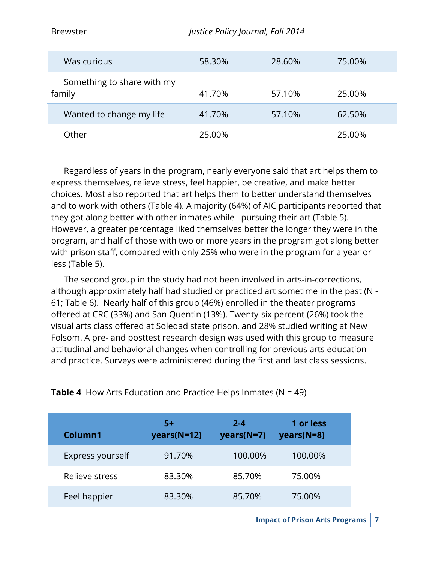| Was curious                          | 58.30% | 28.60% | 75.00% |
|--------------------------------------|--------|--------|--------|
| Something to share with my<br>family | 41.70% | 57.10% | 25.00% |
| Wanted to change my life             | 41.70% | 57.10% | 62.50% |
| Other                                | 25.00% |        | 25.00% |

Regardless of years in the program, nearly everyone said that art helps them to express themselves, relieve stress, feel happier, be creative, and make better choices. Most also reported that art helps them to better understand themselves and to work with others (Table 4). A majority (64%) of AIC participants reported that they got along better with other inmates while pursuing their art (Table 5). However, a greater percentage liked themselves better the longer they were in the program, and half of those with two or more years in the program got along better with prison staff, compared with only 25% who were in the program for a year or less (Table 5).

The second group in the study had not been involved in arts-in-corrections, although approximately half had studied or practiced art sometime in the past (N - 61; Table 6). Nearly half of this group (46%) enrolled in the theater programs offered at CRC (33%) and San Quentin (13%). Twenty-six percent (26%) took the visual arts class offered at Soledad state prison, and 28% studied writing at New Folsom. A pre- and posttest research design was used with this group to measure attitudinal and behavioral changes when controlling for previous arts education and practice. Surveys were administered during the first and last class sessions.

| Column1          | 5+<br>$years(N=12)$ | $2 - 4$<br>$years(N=7)$ | 1 or less<br>$years(N=8)$ |
|------------------|---------------------|-------------------------|---------------------------|
| Express yourself | 91.70%              | 100.00%                 | 100.00%                   |
| Relieve stress   | 83.30%              | 85.70%                  | 75.00%                    |
| Feel happier     | 83.30%              | 85.70%                  | 75.00%                    |

**Table 4** How Arts Education and Practice Helps Inmates (N = 49)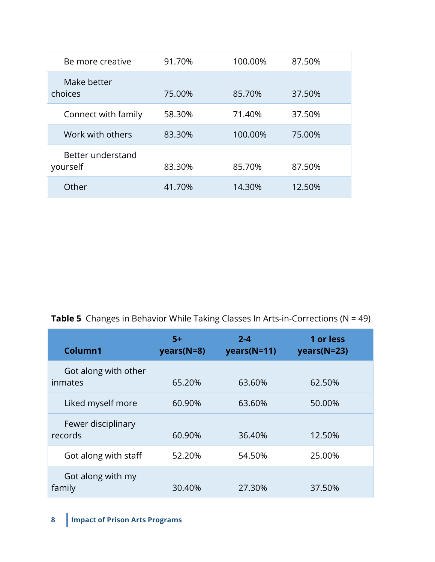| Be more creative              | 91.70% | 100.00% | 87.50% |
|-------------------------------|--------|---------|--------|
| Make better<br>choices        | 75.00% | 85.70%  | 37.50% |
| Connect with family           | 58.30% | 71.40%  | 37.50% |
| Work with others              | 83.30% | 100.00% | 75.00% |
| Better understand<br>yourself | 83.30% | 85.70%  | 87.50% |
| Other                         | 41.70% | 14.30%  | 12.50% |

**Table 5** Changes in Behavior While Taking Classes In Arts-in-Corrections (N = 49)

| Column1                         | $5+$<br>years(N=8) | $2 - 4$<br>years(N=11) | 1 or less<br>years(N=23) |
|---------------------------------|--------------------|------------------------|--------------------------|
| Got along with other<br>inmates | 65.20%             | 63.60%                 | 62.50%                   |
| Liked myself more               | 60.90%             | 63.60%                 | 50.00%                   |
| Fewer disciplinary<br>records   | 60.90%             | 36.40%                 | 12.50%                   |
| Got along with staff            | 52.20%             | 54.50%                 | 25.00%                   |
| Got along with my<br>family     | 30.40%             | 27.30%                 | 37.50%                   |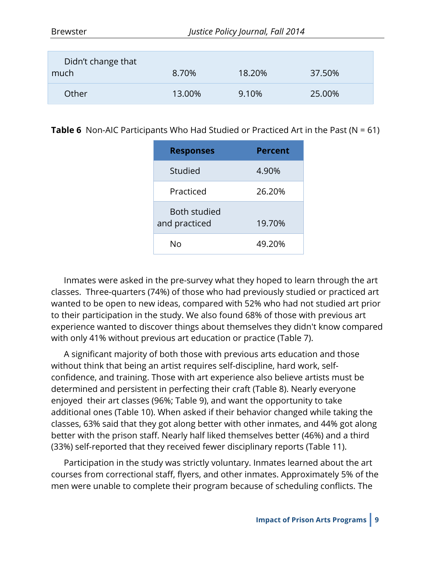| Didn't change that<br>much | 8.70%  | 18.20% | 37.50% |
|----------------------------|--------|--------|--------|
| <b>Other</b>               | 13.00% | 9.10%  | 25.00% |

**Table 6** Non-AIC Participants Who Had Studied or Practiced Art in the Past (N = 61)

| <b>Responses</b>                     | Percent |
|--------------------------------------|---------|
| Studied                              | 4.90%   |
| Practiced                            | 26.20%  |
| <b>Both studied</b><br>and practiced | 19.70%  |
| N٥                                   | 49.20%  |

Inmates were asked in the pre-survey what they hoped to learn through the art classes. Three-quarters (74%) of those who had previously studied or practiced art wanted to be open to new ideas, compared with 52% who had not studied art prior to their participation in the study. We also found 68% of those with previous art experience wanted to discover things about themselves they didn't know compared with only 41% without previous art education or practice (Table 7).

A significant majority of both those with previous arts education and those without think that being an artist requires self-discipline, hard work, selfconfidence, and training. Those with art experience also believe artists must be determined and persistent in perfecting their craft (Table 8). Nearly everyone enjoyed their art classes (96%; Table 9), and want the opportunity to take additional ones (Table 10). When asked if their behavior changed while taking the classes, 63% said that they got along better with other inmates, and 44% got along better with the prison staff. Nearly half liked themselves better (46%) and a third (33%) self-reported that they received fewer disciplinary reports (Table 11).

Participation in the study was strictly voluntary. Inmates learned about the art courses from correctional staff, flyers, and other inmates. Approximately 5% of the men were unable to complete their program because of scheduling conflicts. The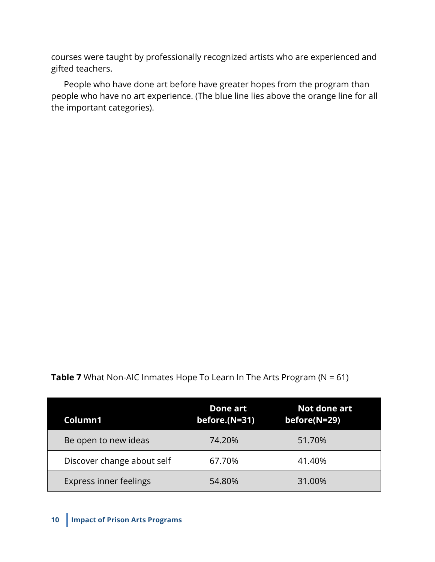courses were taught by professionally recognized artists who are experienced and gifted teachers.

People who have done art before have greater hopes from the program than people who have no art experience. (The blue line lies above the orange line for all the important categories).

| Column1                    | Done art<br>before. $(N=31)$ | Not done art<br>before(N=29) |
|----------------------------|------------------------------|------------------------------|
| Be open to new ideas       | 74.20%                       | 51.70%                       |
| Discover change about self | 67.70%                       | 41.40%                       |
| Express inner feelings     | 54.80%                       | 31.00%                       |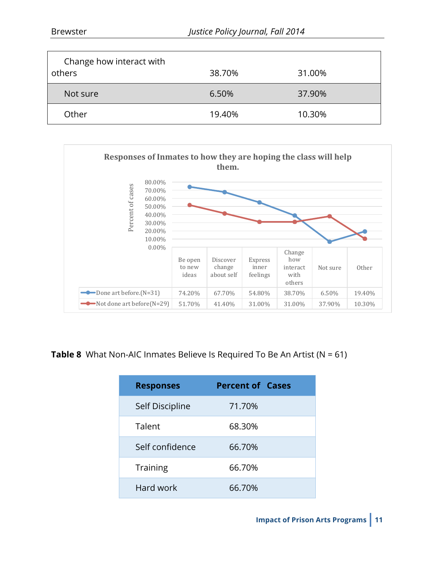| Change how interact with |        |        |
|--------------------------|--------|--------|
| others                   | 38.70% | 31.00% |
| Not sure                 | 6.50%  | 37.90% |
| Other                    | 19.40% | 10.30% |



**Table 8** What Non-AIC Inmates Believe Is Required To Be An Artist (N = 61)

| <b>Responses</b> | <b>Percent of Cases</b> |
|------------------|-------------------------|
| Self Discipline  | 71.70%                  |
| Talent           | 68.30%                  |
| Self confidence  | 66.70%                  |
| <b>Training</b>  | 66.70%                  |
| Hard work        | 66.70%                  |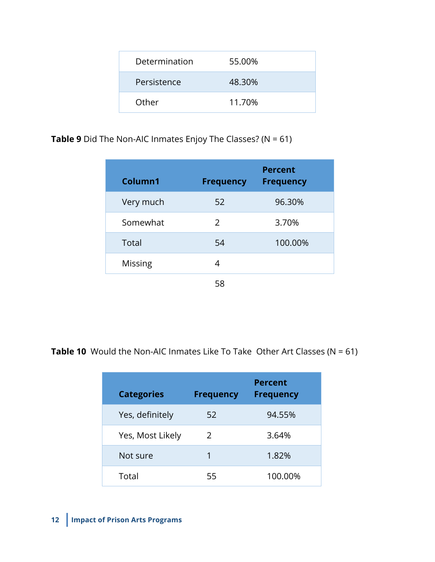| Determination | 55.00% |
|---------------|--------|
| Persistence   | 48.30% |
| Other         | 11.70% |

**Table 9** Did The Non-AIC Inmates Enjoy The Classes? (N = 61)

|                |                  | <b>Percent</b>   |
|----------------|------------------|------------------|
| Column1        | <b>Frequency</b> | <b>Frequency</b> |
| Very much      | 52               | 96.30%           |
| Somewhat       | 2                | 3.70%            |
| Total          | 54               | 100.00%          |
| <b>Missing</b> | 4                |                  |
|                | 58               |                  |

**Table 10** Would the Non-AIC Inmates Like To Take Other Art Classes (N = 61)

| <b>Categories</b> | <b>Frequency</b> | <b>Percent</b><br><b>Frequency</b> |
|-------------------|------------------|------------------------------------|
| Yes, definitely   | 52               | 94.55%                             |
| Yes, Most Likely  | $\mathcal{L}$    | 3.64%                              |
| Not sure          | 1                | 1.82%                              |
| Total             | 55               | 100.00%                            |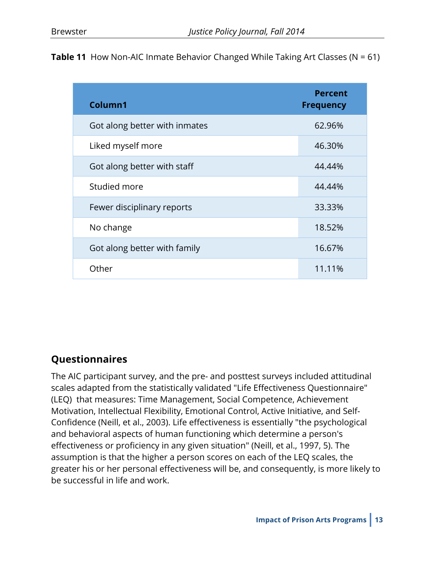| <b>Table 11</b> How Non-AIC Inmate Behavior Changed While Taking Art Classes ( $N = 61$ ) |  |  |  |
|-------------------------------------------------------------------------------------------|--|--|--|
|-------------------------------------------------------------------------------------------|--|--|--|

| Column1                       | <b>Percent</b><br><b>Frequency</b> |
|-------------------------------|------------------------------------|
| Got along better with inmates | 62.96%                             |
| Liked myself more             | 46.30%                             |
| Got along better with staff   | 44.44%                             |
| Studied more                  | 44.44%                             |
| Fewer disciplinary reports    | 33.33%                             |
| No change                     | 18.52%                             |
| Got along better with family  | 16.67%                             |
| Other                         | 11.11%                             |

## **Questionnaires**

The AIC participant survey, and the pre- and posttest surveys included attitudinal scales adapted from the statistically validated "Life Effectiveness Questionnaire" (LEQ) that measures: Time Management, Social Competence, Achievement Motivation, Intellectual Flexibility, Emotional Control, Active Initiative, and Self-Confidence (Neill, et al., 2003). Life effectiveness is essentially "the psychological and behavioral aspects of human functioning which determine a person's effectiveness or proficiency in any given situation" (Neill, et al., 1997, 5). The assumption is that the higher a person scores on each of the LEQ scales, the greater his or her personal effectiveness will be, and consequently, is more likely to be successful in life and work.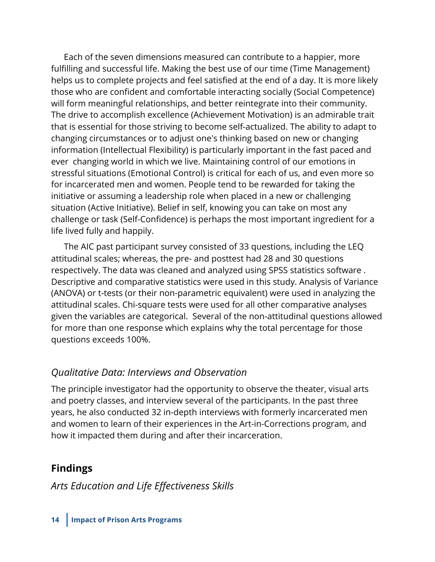Each of the seven dimensions measured can contribute to a happier, more fulfilling and successful life. Making the best use of our time (Time Management) helps us to complete projects and feel satisfied at the end of a day. It is more likely those who are confident and comfortable interacting socially (Social Competence) will form meaningful relationships, and better reintegrate into their community. The drive to accomplish excellence (Achievement Motivation) is an admirable trait that is essential for those striving to become self-actualized. The ability to adapt to changing circumstances or to adjust one's thinking based on new or changing information (Intellectual Flexibility) is particularly important in the fast paced and ever changing world in which we live. Maintaining control of our emotions in stressful situations (Emotional Control) is critical for each of us, and even more so for incarcerated men and women. People tend to be rewarded for taking the initiative or assuming a leadership role when placed in a new or challenging situation (Active Initiative). Belief in self, knowing you can take on most any challenge or task (Self-Confidence) is perhaps the most important ingredient for a life lived fully and happily.

The AIC past participant survey consisted of 33 questions, including the LEQ attitudinal scales; whereas, the pre- and posttest had 28 and 30 questions respectively. The data was cleaned and analyzed using SPSS statistics software . Descriptive and comparative statistics were used in this study. Analysis of Variance (ANOVA) or t-tests (or their non-parametric equivalent) were used in analyzing the attitudinal scales. Chi-square tests were used for all other comparative analyses given the variables are categorical. Several of the non-attitudinal questions allowed for more than one response which explains why the total percentage for those questions exceeds 100%.

## *Qualitative Data: Interviews and Observation*

The principle investigator had the opportunity to observe the theater, visual arts and poetry classes, and interview several of the participants. In the past three years, he also conducted 32 in-depth interviews with formerly incarcerated men and women to learn of their experiences in the Art-in-Corrections program, and how it impacted them during and after their incarceration.

# **Findings**

## *Arts Education and Life Effectiveness Skills*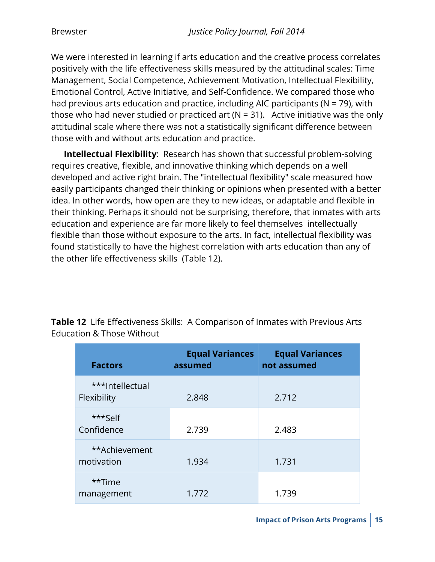We were interested in learning if arts education and the creative process correlates positively with the life effectiveness skills measured by the attitudinal scales: Time Management, Social Competence, Achievement Motivation, Intellectual Flexibility, Emotional Control, Active Initiative, and Self-Confidence. We compared those who had previous arts education and practice, including AIC participants ( $N = 79$ ), with those who had never studied or practiced art ( $N = 31$ ). Active initiative was the only attitudinal scale where there was not a statistically significant difference between those with and without arts education and practice.

**Intellectual Flexibility**: Research has shown that successful problem-solving requires creative, flexible, and innovative thinking which depends on a well developed and active right brain. The "intellectual flexibility" scale measured how easily participants changed their thinking or opinions when presented with a better idea. In other words, how open are they to new ideas, or adaptable and flexible in their thinking. Perhaps it should not be surprising, therefore, that inmates with arts education and experience are far more likely to feel themselves intellectually flexible than those without exposure to the arts. In fact, intellectual flexibility was found statistically to have the highest correlation with arts education than any of the other life effectiveness skills (Table 12).

| <b>Factors</b>                 | <b>Equal Variances</b><br>assumed | <b>Equal Variances</b><br>not assumed |
|--------------------------------|-----------------------------------|---------------------------------------|
| ***Intellectual<br>Flexibility | 2.848                             | 2.712                                 |
| $***$ Self<br>Confidence       | 2.739                             | 2.483                                 |
| **Achievement<br>motivation    | 1.934                             | 1.731                                 |
| **Time<br>management           | 1.772                             | 1.739                                 |

**Table 12** Life Effectiveness Skills: A Comparison of Inmates with Previous Arts Education & Those Without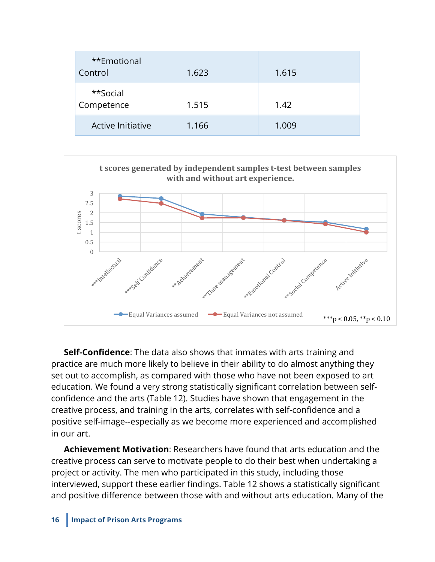| **Emotional<br>Control | 1.623 | 1.615 |
|------------------------|-------|-------|
| **Social<br>Competence | 1.515 | 1.42  |
| Active Initiative      | 1.166 | 1.009 |



**Self-Confidence**: The data also shows that inmates with arts training and practice are much more likely to believe in their ability to do almost anything they set out to accomplish, as compared with those who have not been exposed to art education. We found a very strong statistically significant correlation between selfconfidence and the arts (Table 12). Studies have shown that engagement in the creative process, and training in the arts, correlates with self-confidence and a positive self-image--especially as we become more experienced and accomplished in our art.

**Achievement Motivation**: Researchers have found that arts education and the creative process can serve to motivate people to do their best when undertaking a project or activity. The men who participated in this study, including those interviewed, support these earlier findings. Table 12 shows a statistically significant and positive difference between those with and without arts education. Many of the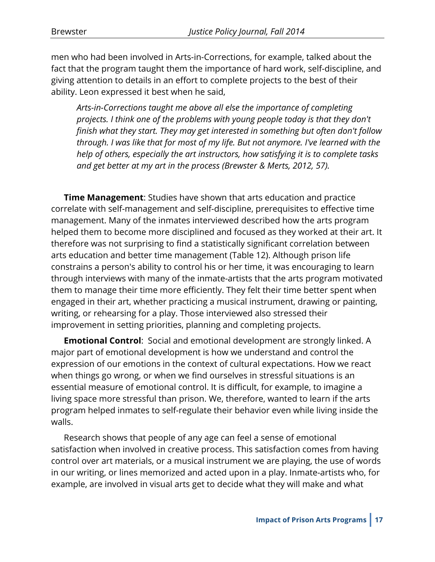men who had been involved in Arts-in-Corrections, for example, talked about the fact that the program taught them the importance of hard work, self-discipline, and giving attention to details in an effort to complete projects to the best of their ability. Leon expressed it best when he said,

*Arts-in-Corrections taught me above all else the importance of completing projects. I think one of the problems with young people today is that they don't finish what they start. They may get interested in something but often don't follow through. I was like that for most of my life. But not anymore. I've learned with the help of others, especially the art instructors, how satisfying it is to complete tasks and get better at my art in the process (Brewster & Merts, 2012, 57).*

**Time Management**: Studies have shown that arts education and practice correlate with self-management and self-discipline, prerequisites to effective time management. Many of the inmates interviewed described how the arts program helped them to become more disciplined and focused as they worked at their art. It therefore was not surprising to find a statistically significant correlation between arts education and better time management (Table 12). Although prison life constrains a person's ability to control his or her time, it was encouraging to learn through interviews with many of the inmate-artists that the arts program motivated them to manage their time more efficiently. They felt their time better spent when engaged in their art, whether practicing a musical instrument, drawing or painting, writing, or rehearsing for a play. Those interviewed also stressed their improvement in setting priorities, planning and completing projects.

**Emotional Control**: Social and emotional development are strongly linked. A major part of emotional development is how we understand and control the expression of our emotions in the context of cultural expectations. How we react when things go wrong, or when we find ourselves in stressful situations is an essential measure of emotional control. It is difficult, for example, to imagine a living space more stressful than prison. We, therefore, wanted to learn if the arts program helped inmates to self-regulate their behavior even while living inside the walls.

Research shows that people of any age can feel a sense of emotional satisfaction when involved in creative process. This satisfaction comes from having control over art materials, or a musical instrument we are playing, the use of words in our writing, or lines memorized and acted upon in a play. Inmate-artists who, for example, are involved in visual arts get to decide what they will make and what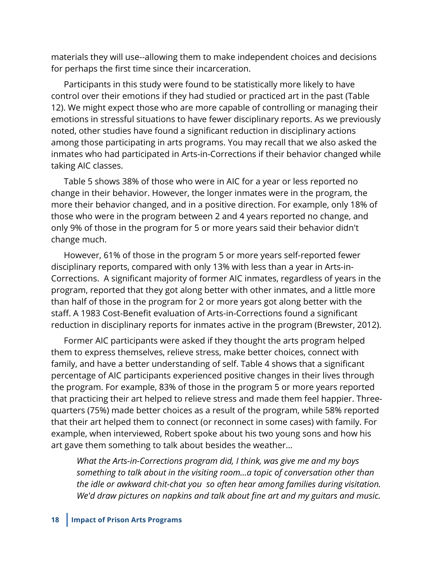materials they will use--allowing them to make independent choices and decisions for perhaps the first time since their incarceration.

Participants in this study were found to be statistically more likely to have control over their emotions if they had studied or practiced art in the past (Table 12). We might expect those who are more capable of controlling or managing their emotions in stressful situations to have fewer disciplinary reports. As we previously noted, other studies have found a significant reduction in disciplinary actions among those participating in arts programs. You may recall that we also asked the inmates who had participated in Arts-in-Corrections if their behavior changed while taking AIC classes.

Table 5 shows 38% of those who were in AIC for a year or less reported no change in their behavior. However, the longer inmates were in the program, the more their behavior changed, and in a positive direction. For example, only 18% of those who were in the program between 2 and 4 years reported no change, and only 9% of those in the program for 5 or more years said their behavior didn't change much.

However, 61% of those in the program 5 or more years self-reported fewer disciplinary reports, compared with only 13% with less than a year in Arts-in-Corrections. A significant majority of former AIC inmates, regardless of years in the program, reported that they got along better with other inmates, and a little more than half of those in the program for 2 or more years got along better with the staff. A 1983 Cost-Benefit evaluation of Arts-in-Corrections found a significant reduction in disciplinary reports for inmates active in the program (Brewster, 2012).

Former AIC participants were asked if they thought the arts program helped them to express themselves, relieve stress, make better choices, connect with family, and have a better understanding of self. Table 4 shows that a significant percentage of AIC participants experienced positive changes in their lives through the program. For example, 83% of those in the program 5 or more years reported that practicing their art helped to relieve stress and made them feel happier. Threequarters (75%) made better choices as a result of the program, while 58% reported that their art helped them to connect (or reconnect in some cases) with family. For example, when interviewed, Robert spoke about his two young sons and how his art gave them something to talk about besides the weather...

*What the Arts-in-Corrections program did, I think, was give me and my boys something to talk about in the visiting room...a topic of conversation other than the idle or awkward chit-chat you so often hear among families during visitation. We'd draw pictures on napkins and talk about fine art and my guitars and music.*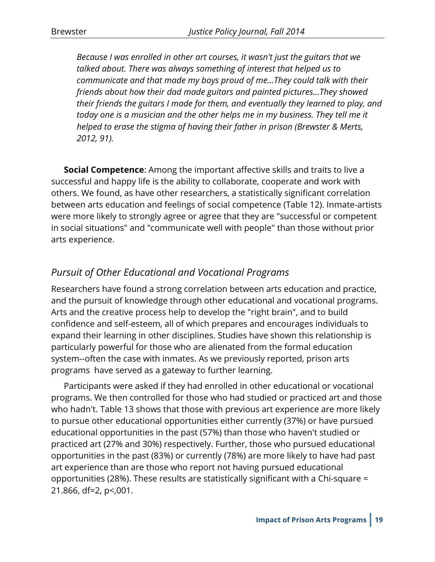*Because I was enrolled in other art courses, it wasn't just the guitars that we talked about. There was always something of interest that helped us to communicate and that made my boys proud of me...They could talk with their friends about how their dad made guitars and painted pictures...They showed their friends the guitars I made for them, and eventually they learned to play, and today one is a musician and the other helps me in my business. They tell me it helped to erase the stigma of having their father in prison (Brewster & Merts, 2012, 91).*

**Social Competence**: Among the important affective skills and traits to live a successful and happy life is the ability to collaborate, cooperate and work with others. We found, as have other researchers, a statistically significant correlation between arts education and feelings of social competence (Table 12). Inmate-artists were more likely to strongly agree or agree that they are "successful or competent in social situations" and "communicate well with people" than those without prior arts experience.

## *Pursuit of Other Educational and Vocational Programs*

Researchers have found a strong correlation between arts education and practice, and the pursuit of knowledge through other educational and vocational programs. Arts and the creative process help to develop the "right brain", and to build confidence and self-esteem, all of which prepares and encourages individuals to expand their learning in other disciplines. Studies have shown this relationship is particularly powerful for those who are alienated from the formal education system--often the case with inmates. As we previously reported, prison arts programs have served as a gateway to further learning.

Participants were asked if they had enrolled in other educational or vocational programs. We then controlled for those who had studied or practiced art and those who hadn't. Table 13 shows that those with previous art experience are more likely to pursue other educational opportunities either currently (37%) or have pursued educational opportunities in the past (57%) than those who haven't studied or practiced art (27% and 30%) respectively. Further, those who pursued educational opportunities in the past (83%) or currently (78%) are more likely to have had past art experience than are those who report not having pursued educational opportunities (28%). These results are statistically significant with a Chi-square = 21.866, df=2, p<,001.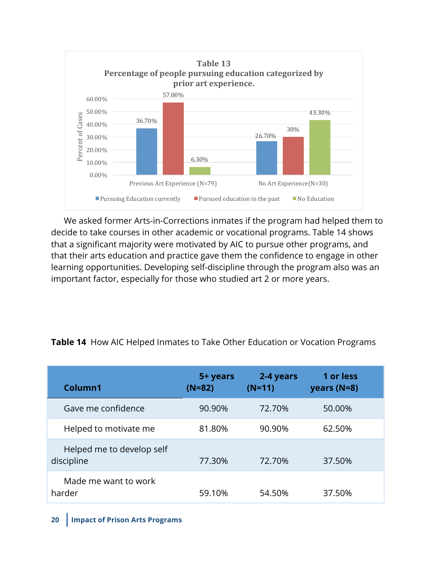

We asked former Arts-in-Corrections inmates if the program had helped them to decide to take courses in other academic or vocational programs. Table 14 shows that a significant majority were motivated by AIC to pursue other programs, and that their arts education and practice gave them the confidence to engage in other learning opportunities. Developing self-discipline through the program also was an important factor, especially for those who studied art 2 or more years.

| Column1                                 | 5+ years<br>$(N=82)$ | 2-4 years<br>$(N=11)$ | 1 or less<br>years $(N=8)$ |
|-----------------------------------------|----------------------|-----------------------|----------------------------|
| Gave me confidence                      | 90.90%               | 72.70%                | 50.00%                     |
| Helped to motivate me                   | 81.80%               | 90.90%                | 62.50%                     |
| Helped me to develop self<br>discipline | 77.30%               | 72.70%                | 37.50%                     |
| Made me want to work<br>harder          | 59.10%               | 54.50%                | 37.50%                     |

#### **Table 14** How AIC Helped Inmates to Take Other Education or Vocation Programs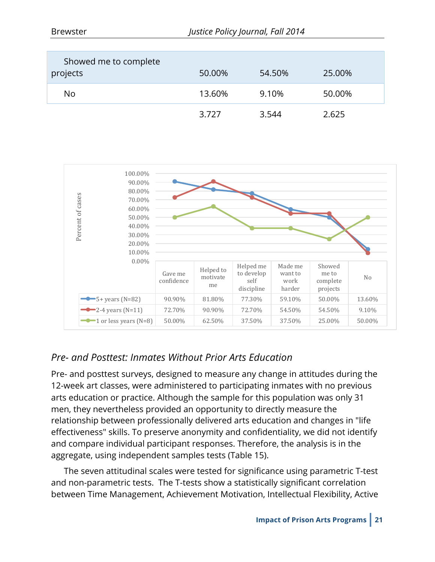| Showed me to complete<br>projects | 50.00% | 54.50% | 25.00% |
|-----------------------------------|--------|--------|--------|
| No                                | 13.60% | 9.10%  | 50.00% |
|                                   | 3.727  | 3.544  | 2.625  |



## *Pre- and Posttest: Inmates Without Prior Arts Education*

Pre- and posttest surveys, designed to measure any change in attitudes during the 12-week art classes, were administered to participating inmates with no previous arts education or practice. Although the sample for this population was only 31 men, they nevertheless provided an opportunity to directly measure the relationship between professionally delivered arts education and changes in "life effectiveness" skills. To preserve anonymity and confidentiality, we did not identify and compare individual participant responses. Therefore, the analysis is in the aggregate, using independent samples tests (Table 15).

The seven attitudinal scales were tested for significance using parametric T-test and non-parametric tests. The T-tests show a statistically significant correlation between Time Management, Achievement Motivation, Intellectual Flexibility, Active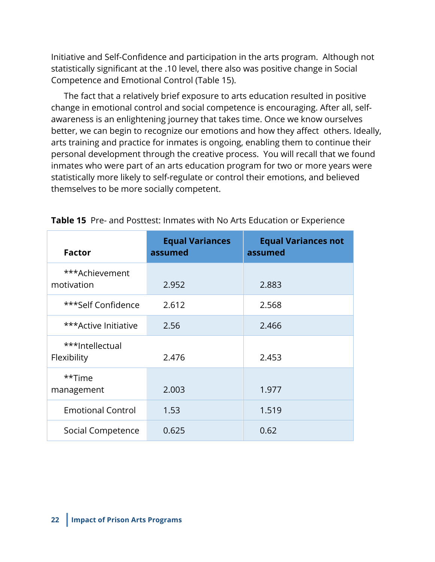Initiative and Self-Confidence and participation in the arts program. Although not statistically significant at the .10 level, there also was positive change in Social Competence and Emotional Control (Table 15).

The fact that a relatively brief exposure to arts education resulted in positive change in emotional control and social competence is encouraging. After all, selfawareness is an enlightening journey that takes time. Once we know ourselves better, we can begin to recognize our emotions and how they affect others. Ideally, arts training and practice for inmates is ongoing, enabling them to continue their personal development through the creative process. You will recall that we found inmates who were part of an arts education program for two or more years were statistically more likely to self-regulate or control their emotions, and believed themselves to be more socially competent.

| <b>Factor</b>                  | <b>Equal Variances</b><br>assumed | <b>Equal Variances not</b><br>assumed |
|--------------------------------|-----------------------------------|---------------------------------------|
| ***Achievement<br>motivation   | 2.952                             | 2.883                                 |
| ***Self Confidence             | 2.612                             | 2.568                                 |
| ***Active Initiative           | 2.56                              | 2.466                                 |
| ***Intellectual<br>Flexibility | 2.476                             | 2.453                                 |
| **Time<br>management           | 2.003                             | 1.977                                 |
| <b>Emotional Control</b>       | 1.53                              | 1.519                                 |
| Social Competence              | 0.625                             | 0.62                                  |

**Table 15** Pre- and Posttest: Inmates with No Arts Education or Experience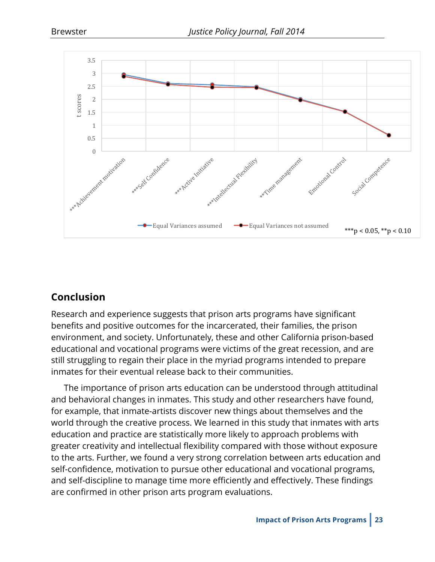

## **Conclusion**

Research and experience suggests that prison arts programs have significant benefits and positive outcomes for the incarcerated, their families, the prison environment, and society. Unfortunately, these and other California prison-based educational and vocational programs were victims of the great recession, and are still struggling to regain their place in the myriad programs intended to prepare inmates for their eventual release back to their communities.

The importance of prison arts education can be understood through attitudinal and behavioral changes in inmates. This study and other researchers have found, for example, that inmate-artists discover new things about themselves and the world through the creative process. We learned in this study that inmates with arts education and practice are statistically more likely to approach problems with greater creativity and intellectual flexibility compared with those without exposure to the arts. Further, we found a very strong correlation between arts education and self-confidence, motivation to pursue other educational and vocational programs, and self-discipline to manage time more efficiently and effectively. These findings are confirmed in other prison arts program evaluations.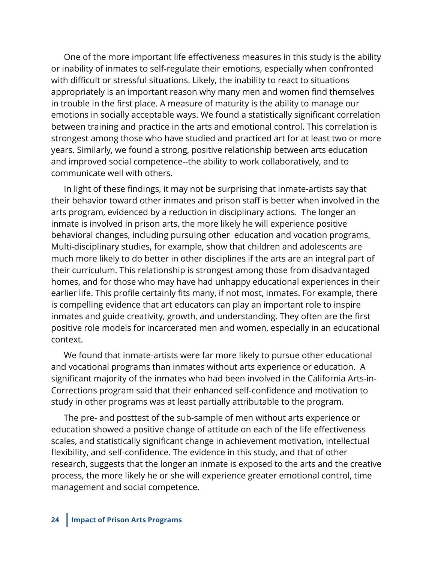One of the more important life effectiveness measures in this study is the ability or inability of inmates to self-regulate their emotions, especially when confronted with difficult or stressful situations. Likely, the inability to react to situations appropriately is an important reason why many men and women find themselves in trouble in the first place. A measure of maturity is the ability to manage our emotions in socially acceptable ways. We found a statistically significant correlation between training and practice in the arts and emotional control. This correlation is strongest among those who have studied and practiced art for at least two or more years. Similarly, we found a strong, positive relationship between arts education and improved social competence--the ability to work collaboratively, and to communicate well with others.

In light of these findings, it may not be surprising that inmate-artists say that their behavior toward other inmates and prison staff is better when involved in the arts program, evidenced by a reduction in disciplinary actions. The longer an inmate is involved in prison arts, the more likely he will experience positive behavioral changes, including pursuing other education and vocation programs, Multi-disciplinary studies, for example, show that children and adolescents are much more likely to do better in other disciplines if the arts are an integral part of their curriculum. This relationship is strongest among those from disadvantaged homes, and for those who may have had unhappy educational experiences in their earlier life. This profile certainly fits many, if not most, inmates. For example, there is compelling evidence that art educators can play an important role to inspire inmates and guide creativity, growth, and understanding. They often are the first positive role models for incarcerated men and women, especially in an educational context.

We found that inmate-artists were far more likely to pursue other educational and vocational programs than inmates without arts experience or education. A significant majority of the inmates who had been involved in the California Arts-in-Corrections program said that their enhanced self-confidence and motivation to study in other programs was at least partially attributable to the program.

The pre- and posttest of the sub-sample of men without arts experience or education showed a positive change of attitude on each of the life effectiveness scales, and statistically significant change in achievement motivation, intellectual flexibility, and self-confidence. The evidence in this study, and that of other research, suggests that the longer an inmate is exposed to the arts and the creative process, the more likely he or she will experience greater emotional control, time management and social competence.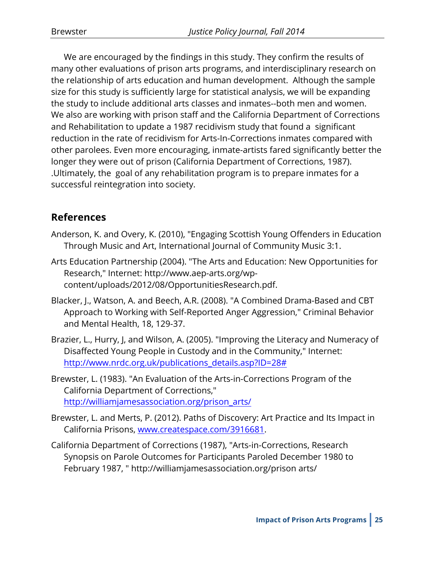We are encouraged by the findings in this study. They confirm the results of many other evaluations of prison arts programs, and interdisciplinary research on the relationship of arts education and human development. Although the sample size for this study is sufficiently large for statistical analysis, we will be expanding the study to include additional arts classes and inmates--both men and women. We also are working with prison staff and the California Department of Corrections and Rehabilitation to update a 1987 recidivism study that found a significant reduction in the rate of recidivism for Arts-In-Corrections inmates compared with other parolees. Even more encouraging, inmate-artists fared significantly better the longer they were out of prison (California Department of Corrections, 1987). .Ultimately, the goal of any rehabilitation program is to prepare inmates for a successful reintegration into society.

## **References**

- Anderson, K. and Overy, K. (2010), "Engaging Scottish Young Offenders in Education Through Music and Art, International Journal of Community Music 3:1.
- Arts Education Partnership (2004). "The Arts and Education: New Opportunities for Research," Internet: http://www.aep-arts.org/wpcontent/uploads/2012/08/OpportunitiesResearch.pdf.
- Blacker, J., Watson, A. and Beech, A.R. (2008). "A Combined Drama-Based and CBT Approach to Working with Self-Reported Anger Aggression," Criminal Behavior and Mental Health, 18, 129-37.
- Brazier, L., Hurry, J, and Wilson, A. (2005). "Improving the Literacy and Numeracy of Disaffected Young People in Custody and in the Community," Internet: http://www.nrdc.org.uk/publications\_details.asp?ID=28#
- Brewster, L. (1983). "An Evaluation of the Arts-in-Corrections Program of the California Department of Corrections," http://williamjamesassociation.org/prison\_arts/
- Brewster, L. and Merts, P. (2012). Paths of Discovery: Art Practice and Its Impact in California Prisons, www.createspace.com/3916681.
- California Department of Corrections (1987), "Arts-in-Corrections, Research Synopsis on Parole Outcomes for Participants Paroled December 1980 to February 1987, " http://williamjamesassociation.org/prison arts/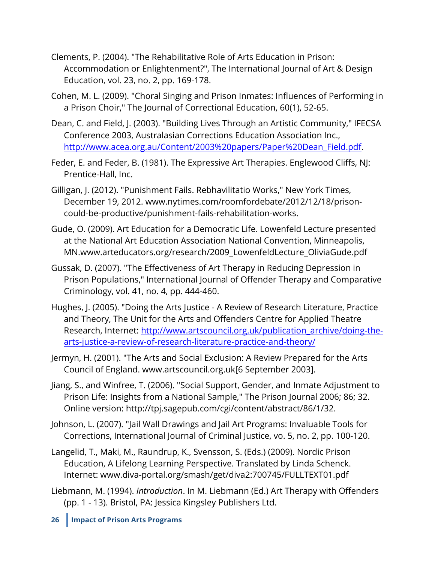- Clements, P. (2004). "The Rehabilitative Role of Arts Education in Prison: Accommodation or Enlightenment?", The International Journal of Art & Design Education, vol. 23, no. 2, pp. 169-178.
- Cohen, M. L. (2009). "Choral Singing and Prison Inmates: Influences of Performing in a Prison Choir," The Journal of Correctional Education, 60(1), 52-65.
- Dean, C. and Field, J. (2003). "Building Lives Through an Artistic Community," IFECSA Conference 2003, Australasian Corrections Education Association Inc., http://www.acea.org.au/Content/2003%20papers/Paper%20Dean\_Field.pdf.
- Feder, E. and Feder, B. (1981). The Expressive Art Therapies. Englewood Cliffs, NJ: Prentice-Hall, Inc.
- Gilligan, J. (2012). "Punishment Fails. Rebhavilitatio Works," New York Times, December 19, 2012. www.nytimes.com/roomfordebate/2012/12/18/prisoncould-be-productive/punishment-fails-rehabilitation-works.
- Gude, O. (2009). Art Education for a Democratic Life. Lowenfeld Lecture presented at the National Art Education Association National Convention, Minneapolis, MN.www.arteducators.org/research/2009\_LowenfeldLecture\_OliviaGude.pdf
- Gussak, D. (2007). "The Effectiveness of Art Therapy in Reducing Depression in Prison Populations," International Journal of Offender Therapy and Comparative Criminology, vol. 41, no. 4, pp. 444-460.
- Hughes, J. (2005). "Doing the Arts Justice A Review of Research Literature, Practice and Theory, The Unit for the Arts and Offenders Centre for Applied Theatre Research, Internet: http://www.artscouncil.org.uk/publication\_archive/doing-thearts-justice-a-review-of-research-literature-practice-and-theory/
- Jermyn, H. (2001). "The Arts and Social Exclusion: A Review Prepared for the Arts Council of England. www.artscouncil.org.uk[6 September 2003].
- Jiang, S., and Winfree, T. (2006). "Social Support, Gender, and Inmate Adjustment to Prison Life: Insights from a National Sample," The Prison Journal 2006; 86; 32. Online version: http://tpj.sagepub.com/cgi/content/abstract/86/1/32.
- Johnson, L. (2007). "Jail Wall Drawings and Jail Art Programs: Invaluable Tools for Corrections, International Journal of Criminal Justice, vo. 5, no. 2, pp. 100-120.
- Langelid, T., Maki, M., Raundrup, K., Svensson, S. (Eds.) (2009). Nordic Prison Education, A Lifelong Learning Perspective. Translated by Linda Schenck. Internet: www.diva-portal.org/smash/get/diva2:700745/FULLTEXT01.pdf
- Liebmann, M. (1994). *Introduction*. In M. Liebmann (Ed.) Art Therapy with Offenders (pp. 1 - 13). Bristol, PA: Jessica Kingsley Publishers Ltd.
- **26 Impact of Prison Arts Programs**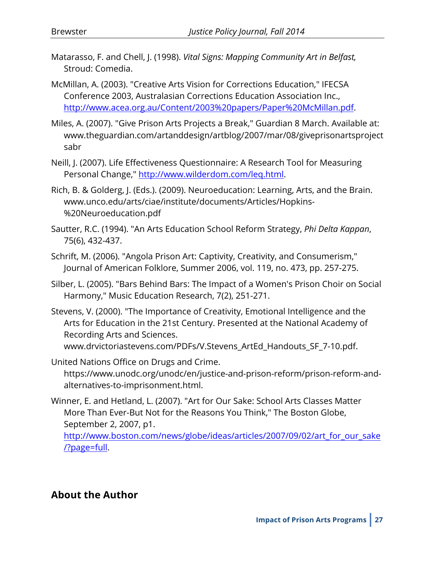- Matarasso, F. and Chell, J. (1998). *Vital Signs: Mapping Community Art in Belfast,*  Stroud: Comedia.
- McMillan, A. (2003). "Creative Arts Vision for Corrections Education," IFECSA Conference 2003, Australasian Corrections Education Association Inc., http://www.acea.org.au/Content/2003%20papers/Paper%20McMillan.pdf.
- Miles, A. (2007). "Give Prison Arts Projects a Break," Guardian 8 March. Available at: www.theguardian.com/artanddesign/artblog/2007/mar/08/giveprisonartsproject sabr
- Neill, J. (2007). Life Effectiveness Questionnaire: A Research Tool for Measuring Personal Change," http://www.wilderdom.com/leq.html.
- Rich, B. & Golderg, J. (Eds.). (2009). Neuroeducation: Learning, Arts, and the Brain. www.unco.edu/arts/ciae/institute/documents/Articles/Hopkins- %20Neuroeducation.pdf
- Sautter, R.C. (1994). "An Arts Education School Reform Strategy, *Phi Delta Kappan*, 75(6), 432-437.
- Schrift, M. (2006). "Angola Prison Art: Captivity, Creativity, and Consumerism," Journal of American Folklore, Summer 2006, vol. 119, no. 473, pp. 257-275.
- Silber, L. (2005). "Bars Behind Bars: The Impact of a Women's Prison Choir on Social Harmony," Music Education Research, 7(2), 251-271.
- Stevens, V. (2000). "The Importance of Creativity, Emotional Intelligence and the Arts for Education in the 21st Century. Presented at the National Academy of Recording Arts and Sciences. www.drvictoriastevens.com/PDFs/V.Stevens\_ArtEd\_Handouts\_SF\_7-10.pdf.
- United Nations Office on Drugs and Crime. https://www.unodc.org/unodc/en/justice-and-prison-reform/prison-reform-andalternatives-to-imprisonment.html.
- Winner, E. and Hetland, L. (2007). "Art for Our Sake: School Arts Classes Matter More Than Ever-But Not for the Reasons You Think," The Boston Globe, September 2, 2007, p1.

http://www.boston.com/news/globe/ideas/articles/2007/09/02/art\_for\_our\_sake <u>/?page=full</u>.

#### **About the Author**